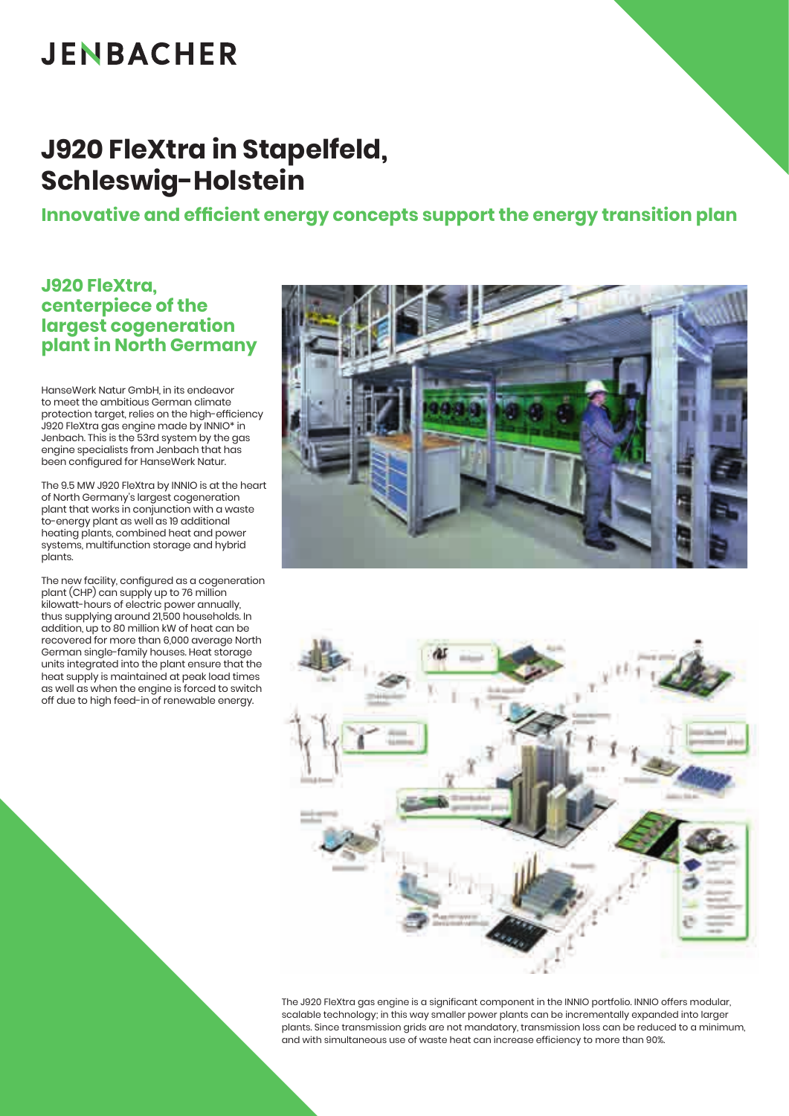## **JENBACHER**

### **J920 FleXtra in Stapelfeld, Schleswig-Holstein**

**Innovative and efficient energy concepts support the energy transition plan**

### **J920 FleXtra, centerpiece of the largest cogeneration plant in North Germany**

HanseWerk Natur GmbH, in its endeavor to meet the ambitious German climate protection target, relies on the high-efficiency J920 FleXtra gas engine made by INNIO\* in Jenbach. This is the 53rd system by the gas engine specialists from Jenbach that has been configured for HanseWerk Natur.

The 9.5 MW J920 FleXtra by INNIO is at the heart of North Germany's largest cogeneration plant that works in conjunction with a waste to-energy plant as well as 19 additional heating plants, combined heat and power systems, multifunction storage and hybrid plants.

The new facility, configured as a cogeneration plant (CHP) can supply up to 76 million kilowatt-hours of electric power annually, thus supplying around 21,500 households. In addition, up to 80 million kW of heat can be recovered for more than 6,000 average North German single-family houses. Heat storage units integrated into the plant ensure that the heat supply is maintained at peak load times as well as when the engine is forced to switch off due to high feed-in of renewable energy.





The J920 FleXtra gas engine is a significant component in the INNIO portfolio. INNIO offers modular, scalable technology; in this way smaller power plants can be incrementally expanded into larger plants. Since transmission grids are not mandatory, transmission loss can be reduced to a minimum, and with simultaneous use of waste heat can increase efficiency to more than 90%.